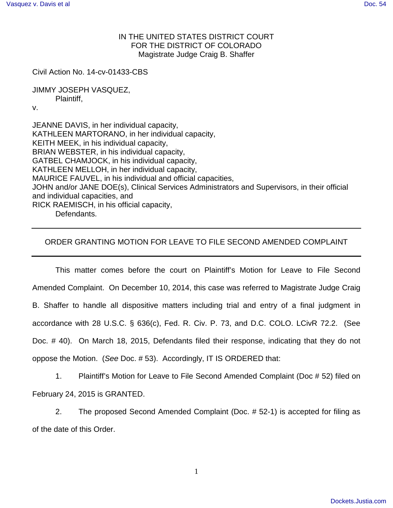## IN THE UNITED STATES DISTRICT COURT FOR THE DISTRICT OF COLORADO Magistrate Judge Craig B. Shaffer

Civil Action No. 14-cv-01433-CBS

JIMMY JOSEPH VASQUEZ, Plaintiff,

v.

JEANNE DAVIS, in her individual capacity, KATHLEEN MARTORANO, in her individual capacity, KEITH MEEK, in his individual capacity, BRIAN WEBSTER, in his individual capacity, GATBEL CHAMJOCK, in his individual capacity, KATHLEEN MELLOH, in her individual capacity, MAURICE FAUVEL, in his individual and official capacities, JOHN and/or JANE DOE(s), Clinical Services Administrators and Supervisors, in their official and individual capacities, and RICK RAEMISCH, in his official capacity, Defendants.

## ORDER GRANTING MOTION FOR LEAVE TO FILE SECOND AMENDED COMPLAINT

This matter comes before the court on Plaintiff's Motion for Leave to File Second Amended Complaint. On December 10, 2014, this case was referred to Magistrate Judge Craig B. Shaffer to handle all dispositive matters including trial and entry of a final judgment in accordance with 28 U.S.C. § 636(c), Fed. R. Civ. P. 73, and D.C. COLO. LCivR 72.2. (See Doc. # 40). On March 18, 2015, Defendants filed their response, indicating that they do not oppose the Motion. (See Doc. # 53). Accordingly, IT IS ORDERED that:

1. Plaintiff's Motion for Leave to File Second Amended Complaint (Doc # 52) filed on February 24, 2015 is GRANTED.

2. The proposed Second Amended Complaint (Doc. # 52-1) is accepted for filing as of the date of this Order.